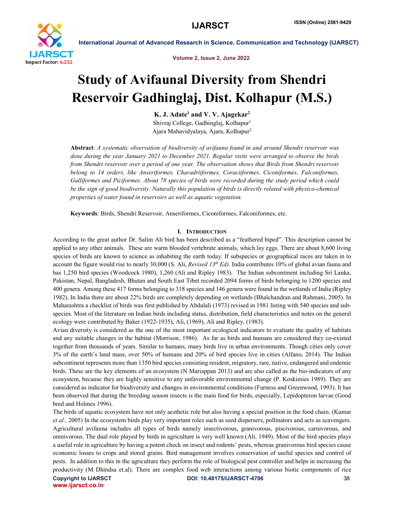

Volume 2, Issue 2, June 2022

# Study of Avifaunal Diversity from Shendri Reservoir Gadhinglaj, Dist. Kolhapur (M.S.)

K. J. Adate<sup>1</sup> and V. V. Ajagekar<sup>2</sup> Shivraj College, Gadhinglaj, Kolhapur<sup>1</sup> Ajara Mahavidyalaya, Ajara, Kolhapur2

Abstract: *A systematic observation of biodiversity of avifauna found in and around Shendri reservoir was done during the year January 2021 to December 2021. Regular visits were arranged to observe the birds from Shendri reservoir over a period of one year. The observation shows that Birds from Shendri reservoir belong to 14 orders, like Anseriformes, Charadriiformes, Coraciiformes, Ciconiformes, Falconiformes, Galliformes and Piciformes. About 78 species of birds were recorded during the study period which could be the sign of good biodiversity. Naturally this population of birds is directly related with physico-chemical properties of water found in reservoirs as well as aquatic vegetation.*

Keywords: Birds, Shendri Reservoir, Anseriformes, Ciconiformes, Falconiformes, etc.

### I. INTRODUCTION

According to the great author Dr. Salim Ali bird has been described as a "feathered biped". This description cannot be applied to any other animals. These are warm blooded vertebrate animals, which lay eggs. There are about 8,600 living species of birds are known to science as inhabiting the earth today. If subspecies or geographical races are taken in to account the figure would rise to nearly 30,000 (S. Ali, *Revised 13th Ed)*. India contributes 10% of global avian fauna and has 1,250 bird species (Woodcock 1980), 1,260 (Ali and Ripley 1983). The Indian subcontinent including Sri Lanka, Pakistan, Nepal, Bangladesh, Bhutan and South East Tibet recorded 2094 forms of birds belonging to 1200 species and 400 genera. Among these 417 forms belonging to 318 species and 146 genera were found in the wetlands of India (Ripley 1982). In India there are about 22% birds are completely depending on wetlands (Bhalchandran and Rahmani, 2005). In Maharashtra a checklist of birds was first published by Abdulali (1973) revised in 1981 listing with 540 species and subspecies. Most of the literature on Indian birds including status, distribution, field characteristics and notes on the general ecology were contributed by Baker (1922-1935), Ali, (1969), Ali and Ripley, (1983).

Avian diversity is considered as the one of the most important ecological indicators to evaluate the quality of habitats and any suitable changes in the habitat (Morrison, 1986). As far as birds and humans are considered they co-existed together from thousands of years. Similar to humans, many birds live in urban environments. Though cities only cover 3% of the earth's land mass, over 50% of humans and 20% of bird species live in cities (Alfano, 2014). The Indian subcontinent represents more than 1350 bird species consisting resident, migratory, rare, native, endangered and endemic birds. These are the key elements of an ecosystem (N Mariappan 2013) and are also called as the bio-indicators of any ecosystem, because they are highly sensitive to any unfavorable environmental change (P. Koskimies 1989). They are considered as indicator for biodiversity and changes in environmental conditions (Furness and Greenwood, 1993). It has been observed that during the breeding season insects is the main food for birds, especially, Lepidopteron larvae (Good bred and Holmes 1996).

The birds of aquatic ecosystem have not only aesthetic role but also having a special position in the food chain. (Kumar *et al.,* 2005) In the ecosystem birds play very important roles such as seed dispersers, pollinators and acts as scavengers. Agricultural avifauna includes all types of birds namely insectivorous, granivorous, piscivorous, carnivorous, and omnivorous. The dual role played by birds in agriculture is very well known (Ali, 1949). Most of the bird species plays a useful role in agriculture by having a potent check on insect and rodents' pests, whereas granivorous bird species cause economic losses to crops and stored grains. Bird management involves conservation of useful species and control of pests. In addition to this in the agriculture they perform the role of biological pest controller and helps in increasing the productivity (M Dhindsa et.al). There are complex food web interactions among various biotic components of rice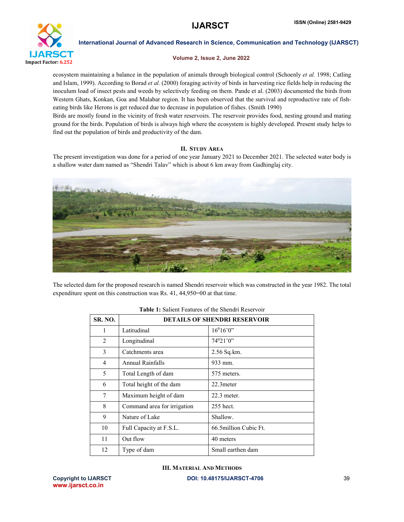

# Volume 2, Issue 2, June 2022

ecosystem maintaining a balance in the population of animals through biological control (Schoenly *et al.* 1998; Catling and Islam, 1999). According to Borad *et al.* (2000) foraging activity of birds in harvesting rice fields help in reducing the inoculum load of insect pests and weeds by selectively feeding on them. Pande et al. (2003) documented the birds from Western Ghats, Konkan, Goa and Malabar region. It has been observed that the survival and reproductive rate of fisheating birds like Herons is get reduced due to decrease in population of fishes. (Smith 1990)

Birds are mostly found in the vicinity of fresh water reservoirs. The reservoir provides food, nesting ground and mating ground for the birds. Population of birds is always high where the ecosystem is highly developed. Present study helps to find out the population of birds and productivity of the dam.

# II. STUDY AREA

The present investigation was done for a period of one year January 2021 to December 2021. The selected water body is a shallow water dam named as "Shendri Talav" which is about 6 km away from Gadhinglaj city.



The selected dam for the proposed research is named Shendri reservoir which was constructed in the year 1982. The total expenditure spent on this construction was Rs. 41, 44,950=00 at that time.

| <b>SR. NO.</b> | <b>DETAILS OF SHENDRI RESERVOIR</b> |                        |  |
|----------------|-------------------------------------|------------------------|--|
| 1              | Latitudinal                         | $16^016'0''$           |  |
| 2              | Longitudinal                        | $74^021'0''$           |  |
| 3              | Catchments area                     | 2.56 Sq.km.            |  |
| $\overline{4}$ | Annual Rainfalls                    | 933 mm.                |  |
| 5              | Total Length of dam                 | 575 meters.            |  |
| 6              | Total height of the dam             | 22.3 meter             |  |
| 7              | Maximum height of dam               | $22.3$ meter.          |  |
| 8              | Command area for irrigation         | $255$ hect.            |  |
| 9              | Nature of Lake                      | Shallow.               |  |
| 10             | Full Capacity at F.S.L.             | 66.5 million Cubic Ft. |  |
| 11             | Out flow                            | 40 meters              |  |
| 12             | Type of dam                         | Small earthen dam      |  |

# Table 1: Salient Features of the Shendri Reservoir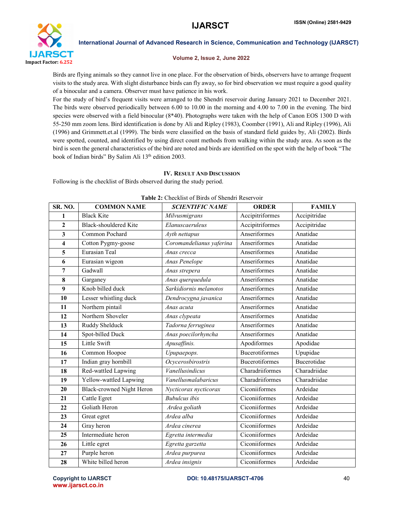

### Volume 2, Issue 2, June 2022

Birds are flying animals so they cannot live in one place. For the observation of birds, observers have to arrange frequent visits to the study area. With slight disturbance birds can fly away, so for bird observation we must require a good quality of a binocular and a camera. Observer must have patience in his work.

For the study of bird's frequent visits were arranged to the Shendri reservoir during January 2021 to December 2021. The birds were observed periodically between 6.00 to 10.00 in the morning and 4.00 to 7.00 in the evening. The bird species were observed with a field binocular (8\*40). Photographs were taken with the help of Canon EOS 1300 D with 55-250 mm zoom lens. Bird identification is done by Ali and Ripley (1983), Coomber (1991), Ali and Ripley (1996), Ali (1996) and Grimmett.et.al (1999). The birds were classified on the basis of standard field guides by, Ali (2002). Birds were spotted, counted, and identified by using direct count methods from walking within the study area. As soon as the bird is seen the general characteristics of the bird are noted and birds are identified on the spot with the help of book "The book of Indian birds" By Salim Ali 13<sup>th</sup> edition 2003.

# IV. RESULT AND DISCUSSION

Following is the checklist of Birds observed during the study period.

| SR. NO.        | <b>COMMON NAME</b>               | <b>SCIENTIFIC NAME</b>   | <b>ORDER</b>          | <b>FAMILY</b> |
|----------------|----------------------------------|--------------------------|-----------------------|---------------|
| 1              | <b>Black Kite</b>                | Milvusmigrans            | Accipitriformes       | Accipitridae  |
| $\overline{2}$ | <b>Black-shouldered Kite</b>     | Elanuscaeruleus          | Accipitriformes       | Accipitridae  |
| 3              | Common Pochard                   | Ayth nettapus            | Anseriformes          | Anatidae      |
| 4              | Cotton Pygmy-goose               | Coromandelianus yaferina | Anseriformes          | Anatidae      |
| 5              | Eurasian Teal                    | Anas crecca              | Anseriformes          | Anatidae      |
| 6              | Eurasian wigeon                  | Anas Penelope            | Anseriformes          | Anatidae      |
| $\overline{7}$ | Gadwall                          | Anas strepera            | Anseriformes          | Anatidae      |
| 8              | Garganey                         | Anas querquedula         | Anseriformes          | Anatidae      |
| 9              | Knob billed duck                 | Sarkidiornis melanotos   | Anseriformes          | Anatidae      |
| 10             | Lesser whistling duck            | Dendrocygna javanica     | Anseriformes          | Anatidae      |
| 11             | Northern pintail                 | Anas acuta               | Anseriformes          | Anatidae      |
| 12             | Northern Shoveler                | Anas clypeata            | Anseriformes          | Anatidae      |
| 13             | Ruddy Shelduck                   | Tadorna ferruginea       | Anseriformes          | Anatidae      |
| 14             | Spot-billed Duck                 | Anas poecilorhyncha      | Anseriformes          | Anatidae      |
| 15             | Little Swift                     | Apusaffinis.             | Apodiformes           | Apodidae      |
| 16             | Common Hoopoe                    | Upupaepops.              | <b>Bucerotiformes</b> | Upupidae      |
| 17             | Indian gray hornbill             | Ocycerosbirostris        | <b>Bucerotiformes</b> | Bucerotidae   |
| 18             | Red-wattled Lapwing              | Vanellusindicus          | Charadriiformes       | Charadriidae  |
| 19             | Yellow-wattled Lapwing           | Vanellusmalabaricus      | Charadriiformes       | Charadriidae  |
| 20             | <b>Black-crowned Night Heron</b> | Nycticorax nycticorax    | Ciconiiformes         | Ardeidae      |
| 21             | Cattle Egret                     | <b>Bubulcus</b> ibis     | Ciconiiformes         | Ardeidae      |
| 22             | Goliath Heron                    | Ardea goliath            | Ciconiiformes         | Ardeidae      |
| 23             | Great egret                      | Ardea alba               | Ciconiiformes         | Ardeidae      |
| 24             | Gray heron                       | Ardea cinerea            | Ciconiiformes         | Ardeidae      |
| 25             | Intermediate heron               | Egretta intermedia       | Ciconiiformes         | Ardeidae      |
| 26             | Little egret                     | Egretta garzetta         | Ciconiiformes         | Ardeidae      |
| 27             | Purple heron                     | Ardea purpurea           | Ciconiiformes         | Ardeidae      |
| 28             | White billed heron               | Ardea insignis           | Ciconiiformes         | Ardeidae      |

|  |  |  | <b>Table 2:</b> Checklist of Birds of Shendri Reservoir |  |
|--|--|--|---------------------------------------------------------|--|
|--|--|--|---------------------------------------------------------|--|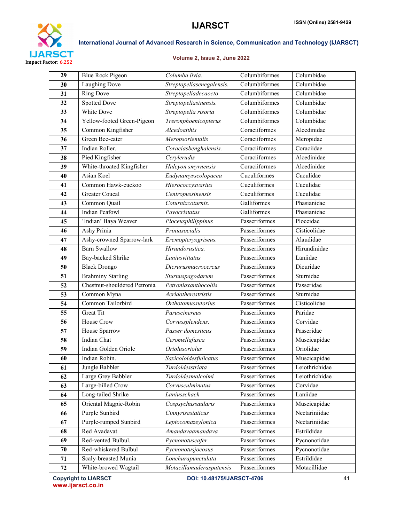

# Volume 2, Issue 2, June 2022

| 29 | <b>Blue Rock Pigeon</b>      | Columba livia.                   | Columbiformes | Columbidae     |
|----|------------------------------|----------------------------------|---------------|----------------|
| 30 | <b>Laughing Dove</b>         | Streptopeliasenegalensis.        | Columbiformes | Columbidae     |
| 31 | <b>Ring Dove</b>             | Streptopeliadecaocto             | Columbiformes | Columbidae     |
| 32 | <b>Spotted Dove</b>          | Streptopeliasinensis.            | Columbiformes | Columbidae     |
| 33 | White Dove                   | Streptopelia risoria             | Columbiformes | Columbidae     |
| 34 | Yellow-footed Green-Pigeon   | Treronphoenicopterus             | Columbiformes | Columbidae     |
| 35 | Common Kingfisher            | Alcedoatthis                     | Coraciiformes | Alcedinidae    |
| 36 | Green Bee-eater              | Meropsorientalis                 | Coraciiformes | Meropidae      |
| 37 | Indian Roller.               | Coraciasbenghalensis.            | Coraciiformes | Coraciidae     |
| 38 | Pied Kingfisher              | Cerylerudis                      | Coraciiformes | Alcedinidae    |
| 39 | White-throated Kingfisher    | Halcyon smyrnensis               | Coraciiformes | Alcedinidae    |
| 40 | Asian Koel                   | Eudynamysscolopacea              | Cuculiformes  | Cuculidae      |
| 41 | Common Hawk-cuckoo           | Hierococcyxvarius                | Cuculiformes  | Cuculidae      |
| 42 | <b>Greater Coucal</b>        | Centropussinensis                | Cuculiformes  | Cuculidae      |
| 43 | Common Quail                 | Coturnixcoturnix.                | Galliformes   | Phasianidae    |
| 44 | <b>Indian Peafowl</b>        | Pavocristatus                    | Galliformes   | Phasianidae    |
| 45 | 'Indian' Baya Weaver         | Ploceusphilippinus               | Passeriformes | Ploceidae      |
| 46 | Ashy Prinia                  | $\overline{Pr}$ iniasocialis     | Passeriformes | Cisticolidae   |
| 47 | Ashy-crowned Sparrow-lark    | Eremopteryxgriseus.              | Passeriformes | Alaudidae      |
| 48 | <b>Barn Swallow</b>          | Hirundorustica.                  | Passeriformes | Hirundinidae   |
| 49 | Bay-backed Shrike            | Laniusvittatus                   | Passeriformes | Laniidae       |
| 50 | <b>Black Drongo</b>          | Dicrurusmacrocercus              | Passeriformes | Dicuridae      |
| 51 | <b>Brahminy Starling</b>     | Sturnuspagodarum                 | Passeriformes | Sturnidae      |
| 52 | Chestnut-shouldered Petronia | Petroniaxanthocollis             | Passeriformes | Passeridae     |
| 53 | Common Myna                  | Acridotherestristis              | Passeriformes | Sturnidae      |
| 54 | Common Tailorbird            | <i><b>Orthotomussutorius</b></i> | Passeriformes | Cisticolidae   |
| 55 | <b>Great Tit</b>             | Paruscinereus                    | Passeriformes | Paridae        |
| 56 | <b>House Crow</b>            | Corvussplendens.                 | Passeriformes | Corvidae       |
| 57 | House Sparrow                | Passer domesticus                | Passeriformes | Passeridae     |
| 58 | Indian Chat                  | Ceromellafusca                   | Passeriformes | Muscicapidae   |
| 59 | Indian Golden Oriole         | Oriolusoriolus                   | Passeriformes | Oriolidae      |
| 60 | Indian Robin.                | Saxicoloidesfulicatus            | Passeriformes | Muscicapidae   |
| 61 | Jungle Babbler               | Turdoidesstriata                 | Passeriformes | Leiothrichidae |
| 62 | Large Grey Babbler           | Turdoidesmalcolmi                | Passeriformes | Leiothrichidae |
| 63 | Large-billed Crow            | Corvusculminatus                 | Passeriformes | Corvidae       |
| 64 | Long-tailed Shrike           | Laniusschach                     | Passeriformes | Laniidae       |
| 65 | Oriental Magpie-Robin        | Cospsychussaularis               | Passeriformes | Muscicapidae   |
| 66 | <b>Purple Sunbird</b>        | Cinnyrisasiaticus                | Passeriformes | Nectariniidae  |
| 67 | Purple-rumped Sunbird        | Leptocomazeylonica               | Passeriformes | Nectariniidae  |
| 68 | Red Avadavat                 | Amandavaamandava                 | Passeriformes | Estrildidae    |
| 69 | Red-vented Bulbul.           | Pycnonotuscafer                  | Passeriformes | Pycnonotidae   |
| 70 | Red-whiskered Bulbul         | Pycnonotusjocosus                | Passeriformes | Pycnonotidae   |
| 71 | Scaly-breasted Munia         | Lonchurapunctulata               | Passeriformes | Estrildidae    |
| 72 | White-browed Wagtail         | Motacillamaderaspatensis         | Passeriformes | Motacillidae   |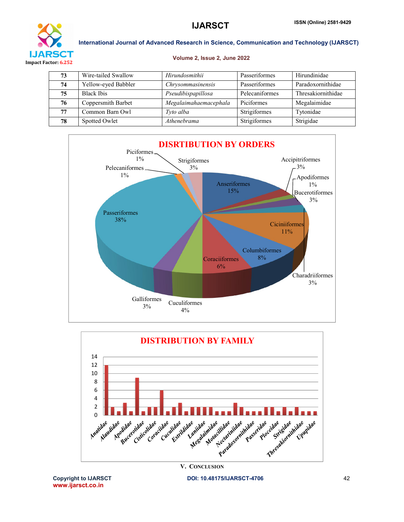

# Volume 2, Issue 2, June 2022

| 73 | Wire-tailed Swallow | Hirundosmithii        | Passeriformes  | Hirundinidae       |
|----|---------------------|-----------------------|----------------|--------------------|
| 74 | Yellow-eyed Babbler | Chrysommasinensis     | Passeriformes  | Paradoxornithidae  |
| 75 | <b>Black Ibis</b>   | Pseudibispapillosa    | Pelecaniformes | Thresakiornithidae |
| 76 | Coppersmith Barbet  | Megalaimahaemacephala | Piciformes     | Megalaimidae       |
| 77 | Common Barn Owl     | Tyto alba             | Strigiformes   | Tytonidae          |
| 78 | Spotted Owlet       | Athenebrama           | Strigiformes   | Strigidae          |





www.ijarsct.co.in

Copyright to IJARSCT **DOI: 10.48175/IJARSCT-4706** 42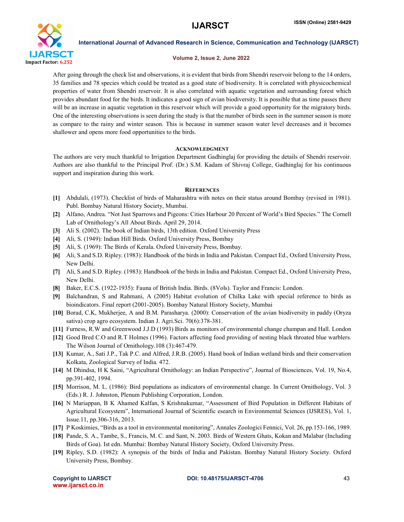

### Volume 2, Issue 2, June 2022

After going through the check list and observations, it is evident that birds from Shendri reservoir belong to the 14 orders, 35 families and 78 species which could be treated as a good state of biodiversity. It is correlated with physicochemical properties of water from Shendri reservoir. It is also correlated with aquatic vegetation and surrounding forest which provides abundant food for the birds. It indicates a good sign of avian biodiversity. It is possible that as time passes there will be an increase in aquatic vegetation in this reservoir which will provide a good opportunity for the migratory birds. One of the interesting observations is seen during the study is that the number of birds seen in the summer season is more as compare to the rainy and winter season. This is because in summer season water level decreases and it becomes shallower and opens more food opportunities to the birds.

# ACKNOWLEDGMENT

The authors are very much thankful to Irrigation Department Gadhinglaj for providing the details of Shendri reservoir. Authors are also thankful to the Principal Prof. (Dr.) S.M. Kadam of Shivraj College, Gadhinglaj for his continuous support and inspiration during this work.

# **REFERENCES**

- [1] Abdulali, (1973). Checklist of birds of Maharashtra with notes on their status around Bombay (revised in 1981). Publ. Bombay Natural History Society, Mumbai.
- [2] Alfano, Andrea. "Not Just Sparrows and Pigeons: Cities Harbour 20 Percent of World's Bird Species." The Cornell Lab of Ornithology's All About Birds. April 29, 2014.
- [3] Ali S. (2002). The book of Indian birds, 13th edition. Oxford University Press
- [4] Ali, S. (1949): Indian Hill Birds. Oxford University Press, Bombay
- [5] Ali, S. (1969): The Birds of Kerala. Oxford University Press, Bombay.
- [6] Ali, S.and S.D. Ripley. (1983): Handbook of the birds in India and Pakistan. Compact Ed., Oxford University Press, New Delhi.
- [7] Ali, S.and S.D. Ripley. (1983): Handbook of the birds in India and Pakistan. Compact Ed., Oxford University Press, New Delhi.
- [8] Baker, E.C.S. (1922-1935): Fauna of British India. Birds. (8Vols). Taylor and Francis: London.
- [9] Balchandran, S and Rahmani, A (2005) Habitat evolution of Chilka Lake with special reference to birds as bioindicators. Final report (2001-2005). Bombay Natural History Society, Mumbai
- [10] Borad, C.K, Mukherjee, A and B.M. Parasharya. (2000): Conservation of the avian biodiversity in paddy (Oryza sativa) crop agro ecosystem. Indian J. Agri.Sci. 70(6):378-381.
- [11] Furness, R.W and Greenwood J.J.D (1993) Birds as monitors of environmental change champan and Hall. London
- [12] Good Bred C.O and R.T Holmes (1996). Factors affecting food providing of nesting black throated blue warblers. The Wilson Journal of Ornithology.108 (3):467-479.
- [13] Kumar, A., Sati J.P., Tak P.C. and Alfred, J.R.B. (2005). Hand book of Indian wetland birds and their conservation Kolkata, Zoological Survey of India. 472.
- [14] M Dhindsa, H K Saini, "Agricultural Ornithology: an Indian Perspective", Journal of Biosciences, Vol. 19, No.4, pp.391-402, 1994.
- [15] Morrison, M. L. (1986): Bird populations as indicators of environmental change. In Current Ornithology, Vol. 3 (Eds.) R. J. Johnston, Plenum Publishing Corporation, London.
- [16] N Mariappan, B K Ahamed Kalfan, S Krishnakumar, "Assessment of Bird Population in Different Habitats of Agricultural Ecosystem", International Journal of Scientific esearch in Environmental Sciences (IJSRES), Vol. 1, Issue.11, pp.306-316, 2013.
- [17] P Koskimies, "Birds as a tool in environmental monitoring", Annales Zoologici Fennici, Vol. 26, pp.153-166, 1989.
- [18] Pande, S. A., Tambe, S., Francis, M. C. and Sant, N. 2003. Birds of Western Ghats, Kokan and Malabar (Including Birds of Goa). Ist edn. Mumbai: Bombay Natural History Society, Oxford University Press.
- [19] Ripley, S.D. (1982): A synopsis of the birds of India and Pakistan. Bombay Natural History Society. Oxford University Press, Bombay.